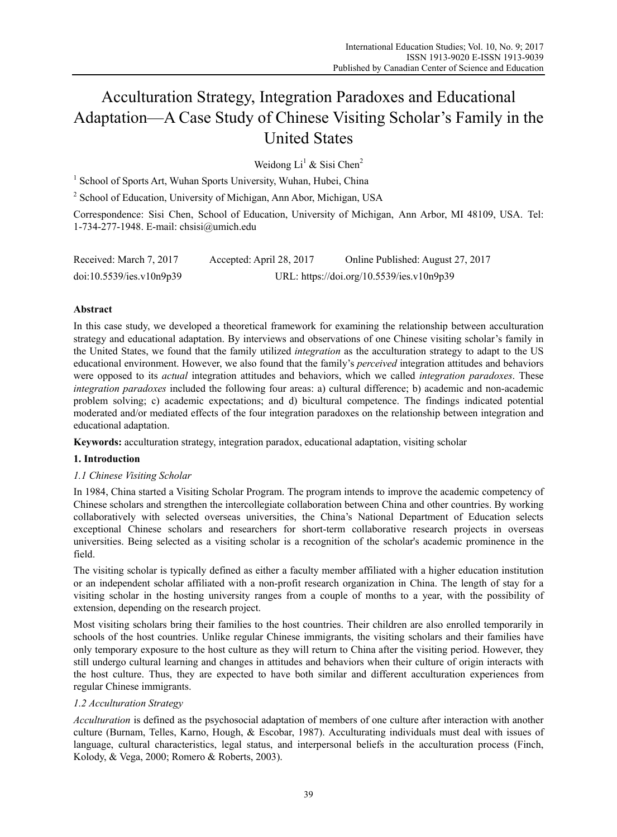# Acculturation Strategy, Integration Paradoxes and Educational Adaptation—A Case Study of Chinese Visiting Scholar's Family in the United States

Weidong  $Li<sup>1</sup>$  & Sisi Chen<sup>2</sup>

<sup>1</sup> School of Sports Art, Wuhan Sports University, Wuhan, Hubei, China

<sup>2</sup> School of Education, University of Michigan, Ann Abor, Michigan, USA

Correspondence: Sisi Chen, School of Education, University of Michigan, Ann Arbor, MI 48109, USA. Tel: 1-734-277-1948. E-mail: chsisi@umich.edu

| Received: March 7, 2017  | Accepted: April 28, 2017 | Online Published: August 27, 2017         |
|--------------------------|--------------------------|-------------------------------------------|
| doi:10.5539/ies.v10n9p39 |                          | URL: https://doi.org/10.5539/ies.v10n9p39 |

# **Abstract**

In this case study, we developed a theoretical framework for examining the relationship between acculturation strategy and educational adaptation. By interviews and observations of one Chinese visiting scholar's family in the United States, we found that the family utilized *integration* as the acculturation strategy to adapt to the US educational environment. However, we also found that the family's *perceived* integration attitudes and behaviors were opposed to its *actual* integration attitudes and behaviors, which we called *integration paradoxes*. These *integration paradoxes* included the following four areas: a) cultural difference; b) academic and non-academic problem solving; c) academic expectations; and d) bicultural competence. The findings indicated potential moderated and/or mediated effects of the four integration paradoxes on the relationship between integration and educational adaptation.

**Keywords:** acculturation strategy, integration paradox, educational adaptation, visiting scholar

## **1. Introduction**

# *1.1 Chinese Visiting Scholar*

In 1984, China started a Visiting Scholar Program. The program intends to improve the academic competency of Chinese scholars and strengthen the intercollegiate collaboration between China and other countries. By working collaboratively with selected overseas universities, the China's National Department of Education selects exceptional Chinese scholars and researchers for short-term collaborative research projects in overseas universities. Being selected as a visiting scholar is a recognition of the scholar's academic prominence in the field.

The visiting scholar is typically defined as either a faculty member affiliated with a higher education institution or an independent scholar affiliated with a non-profit research organization in China. The length of stay for a visiting scholar in the hosting university ranges from a couple of months to a year, with the possibility of extension, depending on the research project.

Most visiting scholars bring their families to the host countries. Their children are also enrolled temporarily in schools of the host countries. Unlike regular Chinese immigrants, the visiting scholars and their families have only temporary exposure to the host culture as they will return to China after the visiting period. However, they still undergo cultural learning and changes in attitudes and behaviors when their culture of origin interacts with the host culture. Thus, they are expected to have both similar and different acculturation experiences from regular Chinese immigrants.

#### *1.2 Acculturation Strategy*

*Acculturation* is defined as the psychosocial adaptation of members of one culture after interaction with another culture (Burnam, Telles, Karno, Hough, & Escobar, 1987). Acculturating individuals must deal with issues of language, cultural characteristics, legal status, and interpersonal beliefs in the acculturation process (Finch, Kolody, & Vega, 2000; Romero & Roberts, 2003).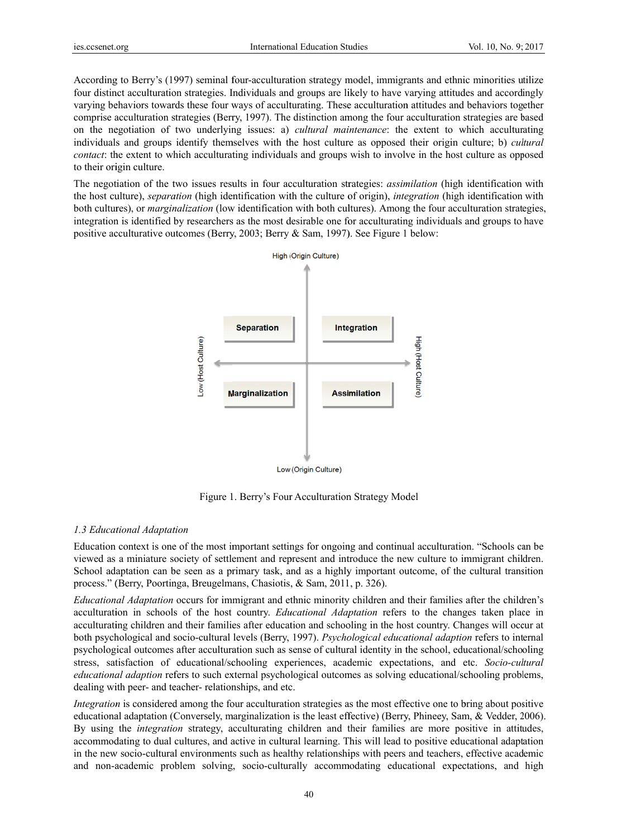According to Berry's (1997) seminal four-acculturation strategy model, immigrants and ethnic minorities utilize four distinct acculturation strategies. Individuals and groups are likely to have varying attitudes and accordingly varying behaviors towards these four ways of acculturating. These acculturation attitudes and behaviors together comprise acculturation strategies (Berry, 1997). The distinction among the four acculturation strategies are based on the negotiation of two underlying issues: a) *cultural maintenance*: the extent to which acculturating individuals and groups identify themselves with the host culture as opposed their origin culture; b) *cultural contact*: the extent to which acculturating individuals and groups wish to involve in the host culture as opposed to their origin culture.

The negotiation of the two issues results in four acculturation strategies: *assimilation* (high identification with the host culture), *separation* (high identification with the culture of origin), *integration* (high identification with both cultures), or *marginalization* (low identification with both cultures). Among the four acculturation strategies, integration is identified by researchers as the most desirable one for acculturating individuals and groups to have positive acculturative outcomes (Berry, 2003; Berry & Sam, 1997). See Figure 1 below:



Figure 1. Berry's Four Acculturation Strategy Model

#### *1.3 Educat tional Adaptat tion*

Education context is one of the most important settings for ongoing and continual acculturation. "Schools can be viewed as a miniature society of settlement and represent and introduce the new culture to immigrant children. School adaptation can be seen as a primary task, and as a highly important outcome, of the cultural transition process." (Berry, Poortinga, Breugelmans, Chasiotis, & Sam, 2011, p. 326).

Educational Adaptation occurs for immigrant and ethnic minority children and their families after the children's acculturation in schools of the host country. *Educational Adaptation* refers to the changes taken place in acculturating children and their families after education and schooling in the host country. Changes will occur at both psychological and socio-cultural levels (Berry, 1997). *Psychological educational adaption* refers to internal psychological outcomes after acculturation such as sense of cultural identity in the school, educational/schooling stress, satisfaction of educational/schooling experiences, academic expectations, and etc. *Socio-cultural* educational adaption refers to such external psychological outcomes as solving educational/schooling problems, dealing with peer- and teacher- relationships, and etc.

*Integration* is considered among the four acculturation strategies as the most effective one to bring about positive educational adaptation (Conversely, marginalization is the least effective) (Berry, Phineey, Sam, & Vedder, 2006). By using the *integration* strategy, acculturating children and their families are more positive in attitudes, accommodating to dual cultures, and active in cultural learning. This will lead to positive educational adaptation in the new socio-cultural environments such as healthy relationships with peers and teachers, effective academic and non-academic problem solving, socio-culturally accommodating educational expectations, and high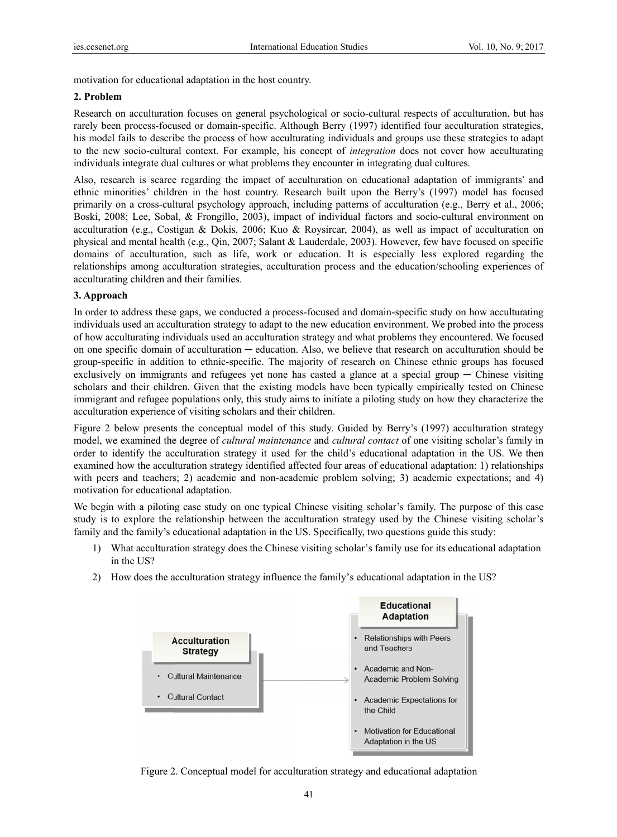motivation for educational adaptation in the host country.

#### **2. Problem m**

Research on acculturation focuses on general psychological or socio-cultural respects of acculturation, but has rarely been process-focused or domain-specific. Although Berry (1997) identified four acculturation strategies, his model fails to describe the process of how acculturating individuals and groups use these strategies to adapt to the new socio-cultural context. For example, his concept of *integration* does not cover how acculturating individuals integrate dual cultures or what problems they encounter in integrating dual cultures.

Also, research is scarce regarding the impact of acculturation on educational adaptation of immigrants' and ethnic minorities' children in the host country. Research built upon the Berry's (1997) model has focused primarily on a cross-cultural psychology approach, including patterns of acculturation (e.g., Berry et al., 2006; Boski, 2008; Lee, Sobal, & Frongillo, 2003), impact of individual factors and socio-cultural environment on acculturation (e.g., Costigan & Dokis, 2006; Kuo & Roysircar, 2004), as well as impact of acculturation on physical and mental health (e.g., Qin, 2007; Salant & Lauderdale, 2003). However, few have focused on specific domains of acculturation, such as life, work or education. It is especially less explored regarding the relationships among acculturation strategies, acculturation process and the education/schooling experiences of acculturating children and their families.

#### 3. Approach

In order to address these gaps, we conducted a process-focused and domain-specific study on how acculturating individuals used an acculturation strategy to adapt to the new education environment. We probed into the process of how acculturating individuals used an acculturation strategy and what problems they encountered. We focused on one specific domain of acculturation — education. Also, we believe that research on acculturation should be group-specific in addition to ethnic-specific. The majority of research on Chinese ethnic groups has focused exclusively on immigrants and refugees yet none has casted a glance at a special group  $-$  Chinese visiting scholars and their children. Given that the existing models have been typically empirically tested on Chinese immigrant and refugee populations only, this study aims to initiate a piloting study on how they characterize the acculturation experience of visiting scholars and their children.

Figure 2 below presents the conceptual model of this study. Guided by Berry's (1997) acculturation strategy model, we examined the degree of *cultural maintenance* and *cultural contact* of one visiting scholar's family in order to identify the acculturation strategy it used for the child's educational adaptation in the US. We then examined how the acculturation strategy identified affected four areas of educational adaptation: 1) relationships with peers and teachers; 2) academic and non-academic problem solving; 3) academic expectations; and 4) motivation for educational adaptation.

We begin with a piloting case study on one typical Chinese visiting scholar's family. The purpose of this case study is to explore the relationship between the acculturation strategy used by the Chinese visiting scholar's family and the family's educational adaptation in the US. Specifically, two questions guide this study:

- 1) What acculturation strategy does the Chinese visiting scholar's family use for its educational adaptation in n the US?
- 2) How does the acculturation strategy influence the family's educational adaptation in the US?



Figure 2. Conceptual model for acculturation strategy and educational adaptation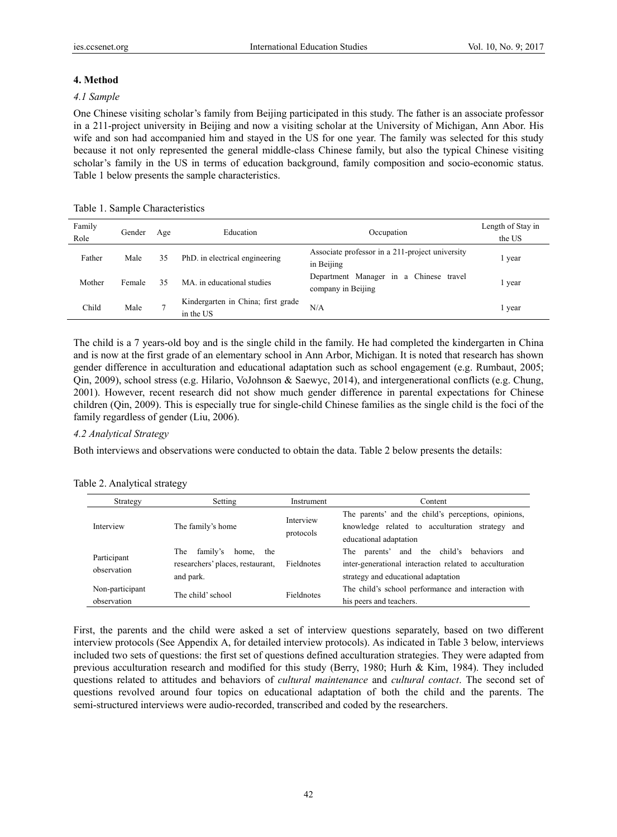# **4. Method**

## *4.1 Sample*

One Chinese visiting scholar's family from Beijing participated in this study. The father is an associate professor in a 211-project university in Beijing and now a visiting scholar at the University of Michigan, Ann Abor. His wife and son had accompanied him and stayed in the US for one year. The family was selected for this study because it not only represented the general middle-class Chinese family, but also the typical Chinese visiting scholar's family in the US in terms of education background, family composition and socio-economic status. Table 1 below presents the sample characteristics.

Table 1. Sample Characteristics

| Family<br>Role | Gender | Age | Education                                       | Occupation                                                    | Length of Stay in<br>the US |
|----------------|--------|-----|-------------------------------------------------|---------------------------------------------------------------|-----------------------------|
| Father         | Male   | 35  | PhD, in electrical engineering                  | Associate professor in a 211-project university<br>in Beijing | year                        |
| Mother         | Female | 35  | MA in educational studies                       | Department Manager in a Chinese travel<br>company in Beijing  | vear                        |
| Child          | Male   |     | Kindergarten in China; first grade<br>in the US | N/A                                                           | 1 year                      |

The child is a 7 years-old boy and is the single child in the family. He had completed the kindergarten in China and is now at the first grade of an elementary school in Ann Arbor, Michigan. It is noted that research has shown gender difference in acculturation and educational adaptation such as school engagement (e.g. Rumbaut, 2005; Qin, 2009), school stress (e.g. Hilario, VoJohnson & Saewyc, 2014), and intergenerational conflicts (e.g. Chung, 2001). However, recent research did not show much gender difference in parental expectations for Chinese children (Qin, 2009). This is especially true for single-child Chinese families as the single child is the foci of the family regardless of gender (Liu, 2006).

#### *4.2 Analytical Strategy*

Both interviews and observations were conducted to obtain the data. Table 2 below presents the details:

| Strategy                       | Setting                                                                       | Instrument             | Content                                                                                                                                               |
|--------------------------------|-------------------------------------------------------------------------------|------------------------|-------------------------------------------------------------------------------------------------------------------------------------------------------|
| Interview                      | The family's home                                                             | Interview<br>protocols | The parents' and the child's perceptions, opinions,<br>knowledge related to acculturation strategy and<br>educational adaptation                      |
| Participant<br>observation     | family's<br>The<br>home, the<br>researchers' places, restaurant,<br>and park. | Fieldnotes             | and the child's behaviors<br>parents'<br>The<br>and<br>inter-generational interaction related to acculturation<br>strategy and educational adaptation |
| Non-participant<br>observation | The child' school                                                             | Fieldnotes             | The child's school performance and interaction with<br>his peers and teachers.                                                                        |

Table 2. Analytical strategy

First, the parents and the child were asked a set of interview questions separately, based on two different interview protocols (See Appendix A, for detailed interview protocols). As indicated in Table 3 below, interviews included two sets of questions: the first set of questions defined acculturation strategies. They were adapted from previous acculturation research and modified for this study (Berry, 1980; Hurh & Kim, 1984). They included questions related to attitudes and behaviors of *cultural maintenance* and *cultural contact*. The second set of questions revolved around four topics on educational adaptation of both the child and the parents. The semi-structured interviews were audio-recorded, transcribed and coded by the researchers.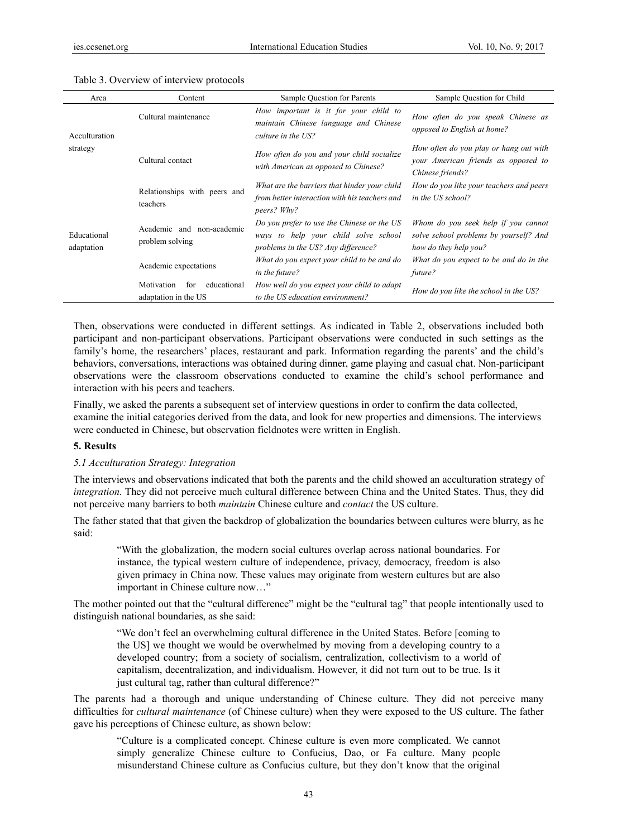| Area                      | Content                                                  | Sample Question for Parents                                                                                               | Sample Question for Child                                                                              |
|---------------------------|----------------------------------------------------------|---------------------------------------------------------------------------------------------------------------------------|--------------------------------------------------------------------------------------------------------|
| Acculturation             | Cultural maintenance                                     | How important is it for your child to<br>maintain Chinese language and Chinese<br>culture in the US?                      | How often do you speak Chinese as<br>opposed to English at home?                                       |
| strategy                  | Cultural contact                                         | How often do you and your child socialize<br>with American as opposed to Chinese?                                         | How often do you play or hang out with<br>your American friends as opposed to<br>Chinese friends?      |
|                           | Relationships with peers and<br>teachers                 | What are the barriers that hinder your child<br>from better interaction with his teachers and<br>peers? Why?              | How do you like your teachers and peers<br>in the US school?                                           |
| Educational<br>adaptation | Academic and non-academic<br>problem solving             | Do you prefer to use the Chinese or the US<br>ways to help your child solve school<br>problems in the US? Any difference? | Whom do you seek help if you cannot<br>solve school problems by yourself? And<br>how do they help you? |
|                           | Academic expectations                                    | What do you expect your child to be and do<br>in the future?                                                              | What do you expect to be and do in the<br>future?                                                      |
|                           | educational<br>Motivation<br>for<br>adaptation in the US | How well do you expect your child to adapt<br>to the US education environment?                                            | How do you like the school in the US?                                                                  |

#### Table 3. Overview of interview protocols

Then, observations were conducted in different settings. As indicated in Table 2, observations included both participant and non-participant observations. Participant observations were conducted in such settings as the family's home, the researchers' places, restaurant and park. Information regarding the parents' and the child's behaviors, conversations, interactions was obtained during dinner, game playing and casual chat. Non-participant observations were the classroom observations conducted to examine the child's school performance and interaction with his peers and teachers.

Finally, we asked the parents a subsequent set of interview questions in order to confirm the data collected, examine the initial categories derived from the data, and look for new properties and dimensions. The interviews were conducted in Chinese, but observation fieldnotes were written in English.

#### **5. Results**

#### *5.1 Acculturation Strategy: Integration*

The interviews and observations indicated that both the parents and the child showed an acculturation strategy of *integration.* They did not perceive much cultural difference between China and the United States. Thus, they did not perceive many barriers to both *maintain* Chinese culture and *contact* the US culture.

The father stated that that given the backdrop of globalization the boundaries between cultures were blurry, as he said:

"With the globalization, the modern social cultures overlap across national boundaries. For instance, the typical western culture of independence, privacy, democracy, freedom is also given primacy in China now. These values may originate from western cultures but are also important in Chinese culture now…"

The mother pointed out that the "cultural difference" might be the "cultural tag" that people intentionally used to distinguish national boundaries, as she said:

"We don't feel an overwhelming cultural difference in the United States. Before [coming to the US] we thought we would be overwhelmed by moving from a developing country to a developed country; from a society of socialism, centralization, collectivism to a world of capitalism, decentralization, and individualism. However, it did not turn out to be true. Is it just cultural tag, rather than cultural difference?"

The parents had a thorough and unique understanding of Chinese culture. They did not perceive many difficulties for *cultural maintenance* (of Chinese culture) when they were exposed to the US culture. The father gave his perceptions of Chinese culture, as shown below:

"Culture is a complicated concept. Chinese culture is even more complicated. We cannot simply generalize Chinese culture to Confucius, Dao, or Fa culture. Many people misunderstand Chinese culture as Confucius culture, but they don't know that the original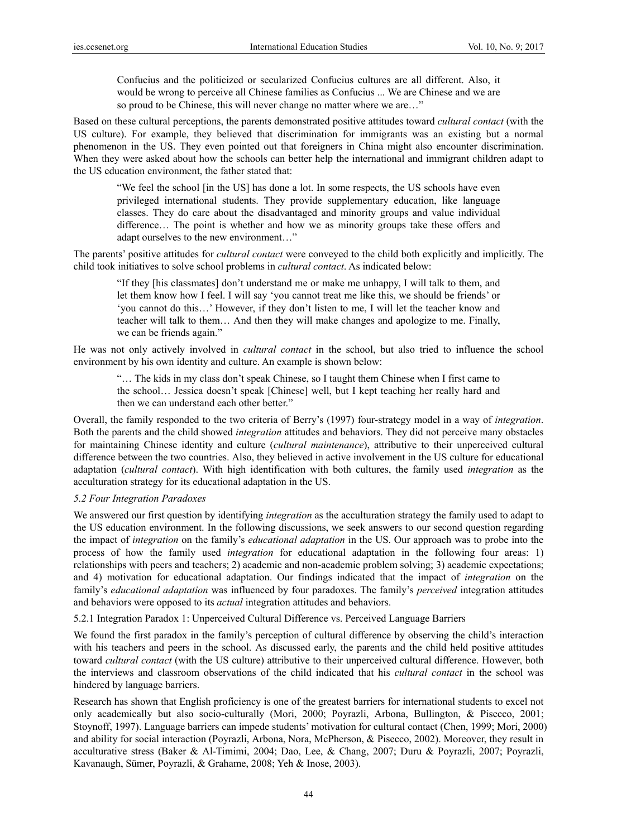Confucius and the politicized or secularized Confucius cultures are all different. Also, it would be wrong to perceive all Chinese families as Confucius ... We are Chinese and we are so proud to be Chinese, this will never change no matter where we are…"

Based on these cultural perceptions, the parents demonstrated positive attitudes toward *cultural contact* (with the US culture). For example, they believed that discrimination for immigrants was an existing but a normal phenomenon in the US. They even pointed out that foreigners in China might also encounter discrimination. When they were asked about how the schools can better help the international and immigrant children adapt to the US education environment, the father stated that:

"We feel the school [in the US] has done a lot. In some respects, the US schools have even privileged international students. They provide supplementary education, like language classes. They do care about the disadvantaged and minority groups and value individual difference… The point is whether and how we as minority groups take these offers and adapt ourselves to the new environment…"

The parents' positive attitudes for *cultural contact* were conveyed to the child both explicitly and implicitly. The child took initiatives to solve school problems in *cultural contact*. As indicated below:

"If they [his classmates] don't understand me or make me unhappy, I will talk to them, and let them know how I feel. I will say 'you cannot treat me like this, we should be friends' or 'you cannot do this…' However, if they don't listen to me, I will let the teacher know and teacher will talk to them… And then they will make changes and apologize to me. Finally, we can be friends again."

He was not only actively involved in *cultural contact* in the school, but also tried to influence the school environment by his own identity and culture. An example is shown below:

"… The kids in my class don't speak Chinese, so I taught them Chinese when I first came to the school… Jessica doesn't speak [Chinese] well, but I kept teaching her really hard and then we can understand each other better."

Overall, the family responded to the two criteria of Berry's (1997) four-strategy model in a way of *integration*. Both the parents and the child showed *integration* attitudes and behaviors. They did not perceive many obstacles for maintaining Chinese identity and culture (*cultural maintenance*), attributive to their unperceived cultural difference between the two countries. Also, they believed in active involvement in the US culture for educational adaptation (*cultural contact*). With high identification with both cultures, the family used *integration* as the acculturation strategy for its educational adaptation in the US.

#### *5.2 Four Integration Paradoxes*

We answered our first question by identifying *integration* as the acculturation strategy the family used to adapt to the US education environment. In the following discussions, we seek answers to our second question regarding the impact of *integration* on the family's *educational adaptation* in the US. Our approach was to probe into the process of how the family used *integration* for educational adaptation in the following four areas: 1) relationships with peers and teachers; 2) academic and non-academic problem solving; 3) academic expectations; and 4) motivation for educational adaptation. Our findings indicated that the impact of *integration* on the family's *educational adaptation* was influenced by four paradoxes. The family's *perceived* integration attitudes and behaviors were opposed to its *actual* integration attitudes and behaviors.

5.2.1 Integration Paradox 1: Unperceived Cultural Difference vs. Perceived Language Barriers

We found the first paradox in the family's perception of cultural difference by observing the child's interaction with his teachers and peers in the school. As discussed early, the parents and the child held positive attitudes toward *cultural contact* (with the US culture) attributive to their unperceived cultural difference. However, both the interviews and classroom observations of the child indicated that his *cultural contact* in the school was hindered by language barriers.

Research has shown that English proficiency is one of the greatest barriers for international students to excel not only academically but also socio-culturally (Mori, 2000; Poyrazli, Arbona, Bullington, & Pisecco, 2001; Stoynoff, 1997). Language barriers can impede students' motivation for cultural contact (Chen, 1999; Mori, 2000) and ability for social interaction (Poyrazli, Arbona, Nora, McPherson, & Pisecco, 2002). Moreover, they result in acculturative stress (Baker & Al-Timimi, 2004; Dao, Lee, & Chang, 2007; Duru & Poyrazli, 2007; Poyrazli, Kavanaugh, Sümer, Poyrazli, & Grahame, 2008; Yeh & Inose, 2003).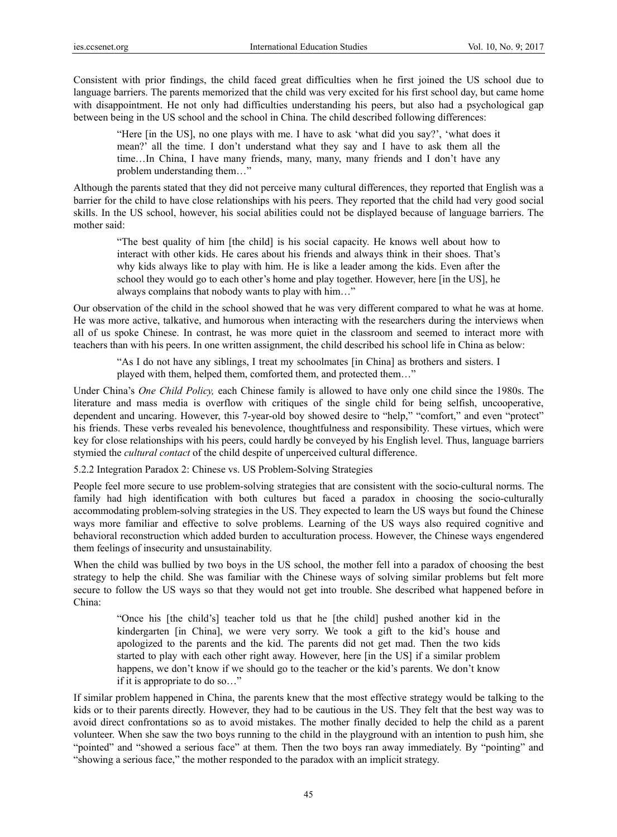Consistent with prior findings, the child faced great difficulties when he first joined the US school due to language barriers. The parents memorized that the child was very excited for his first school day, but came home with disappointment. He not only had difficulties understanding his peers, but also had a psychological gap between being in the US school and the school in China. The child described following differences:

"Here [in the US], no one plays with me. I have to ask 'what did you say?', 'what does it mean?' all the time. I don't understand what they say and I have to ask them all the time…In China, I have many friends, many, many, many friends and I don't have any problem understanding them…"

Although the parents stated that they did not perceive many cultural differences, they reported that English was a barrier for the child to have close relationships with his peers. They reported that the child had very good social skills. In the US school, however, his social abilities could not be displayed because of language barriers. The mother said:

"The best quality of him [the child] is his social capacity. He knows well about how to interact with other kids. He cares about his friends and always think in their shoes. That's why kids always like to play with him. He is like a leader among the kids. Even after the school they would go to each other's home and play together. However, here [in the US], he always complains that nobody wants to play with him…"

Our observation of the child in the school showed that he was very different compared to what he was at home. He was more active, talkative, and humorous when interacting with the researchers during the interviews when all of us spoke Chinese. In contrast, he was more quiet in the classroom and seemed to interact more with teachers than with his peers. In one written assignment, the child described his school life in China as below:

"As I do not have any siblings, I treat my schoolmates [in China] as brothers and sisters. I played with them, helped them, comforted them, and protected them…"

Under China's *One Child Policy,* each Chinese family is allowed to have only one child since the 1980s. The literature and mass media is overflow with critiques of the single child for being selfish, uncooperative, dependent and uncaring. However, this 7-year-old boy showed desire to "help," "comfort," and even "protect" his friends. These verbs revealed his benevolence, thoughtfulness and responsibility. These virtues, which were key for close relationships with his peers, could hardly be conveyed by his English level. Thus, language barriers stymied the *cultural contact* of the child despite of unperceived cultural difference.

5.2.2 Integration Paradox 2: Chinese vs. US Problem-Solving Strategies

People feel more secure to use problem-solving strategies that are consistent with the socio-cultural norms. The family had high identification with both cultures but faced a paradox in choosing the socio-culturally accommodating problem-solving strategies in the US. They expected to learn the US ways but found the Chinese ways more familiar and effective to solve problems. Learning of the US ways also required cognitive and behavioral reconstruction which added burden to acculturation process. However, the Chinese ways engendered them feelings of insecurity and unsustainability.

When the child was bullied by two boys in the US school, the mother fell into a paradox of choosing the best strategy to help the child. She was familiar with the Chinese ways of solving similar problems but felt more secure to follow the US ways so that they would not get into trouble. She described what happened before in China:

"Once his [the child's] teacher told us that he [the child] pushed another kid in the kindergarten [in China], we were very sorry. We took a gift to the kid's house and apologized to the parents and the kid. The parents did not get mad. Then the two kids started to play with each other right away. However, here [in the US] if a similar problem happens, we don't know if we should go to the teacher or the kid's parents. We don't know if it is appropriate to do so…"

If similar problem happened in China, the parents knew that the most effective strategy would be talking to the kids or to their parents directly. However, they had to be cautious in the US. They felt that the best way was to avoid direct confrontations so as to avoid mistakes. The mother finally decided to help the child as a parent volunteer. When she saw the two boys running to the child in the playground with an intention to push him, she "pointed" and "showed a serious face" at them. Then the two boys ran away immediately. By "pointing" and "showing a serious face," the mother responded to the paradox with an implicit strategy.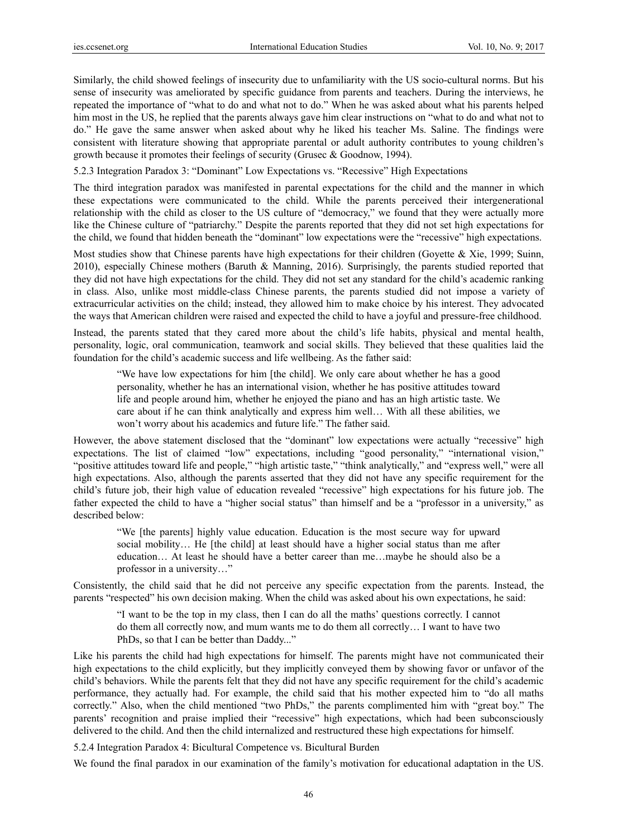Similarly, the child showed feelings of insecurity due to unfamiliarity with the US socio-cultural norms. But his sense of insecurity was ameliorated by specific guidance from parents and teachers. During the interviews, he repeated the importance of "what to do and what not to do." When he was asked about what his parents helped him most in the US, he replied that the parents always gave him clear instructions on "what to do and what not to do." He gave the same answer when asked about why he liked his teacher Ms. Saline. The findings were consistent with literature showing that appropriate parental or adult authority contributes to young children's growth because it promotes their feelings of security (Grusec & Goodnow, 1994).

5.2.3 Integration Paradox 3: "Dominant" Low Expectations vs. "Recessive" High Expectations

The third integration paradox was manifested in parental expectations for the child and the manner in which these expectations were communicated to the child. While the parents perceived their intergenerational relationship with the child as closer to the US culture of "democracy," we found that they were actually more like the Chinese culture of "patriarchy." Despite the parents reported that they did not set high expectations for the child, we found that hidden beneath the "dominant" low expectations were the "recessive" high expectations.

Most studies show that Chinese parents have high expectations for their children (Goyette & Xie, 1999; Suinn, 2010), especially Chinese mothers (Baruth & Manning, 2016). Surprisingly, the parents studied reported that they did not have high expectations for the child. They did not set any standard for the child's academic ranking in class. Also, unlike most middle-class Chinese parents, the parents studied did not impose a variety of extracurricular activities on the child; instead, they allowed him to make choice by his interest. They advocated the ways that American children were raised and expected the child to have a joyful and pressure-free childhood.

Instead, the parents stated that they cared more about the child's life habits, physical and mental health, personality, logic, oral communication, teamwork and social skills. They believed that these qualities laid the foundation for the child's academic success and life wellbeing. As the father said:

"We have low expectations for him [the child]. We only care about whether he has a good personality, whether he has an international vision, whether he has positive attitudes toward life and people around him, whether he enjoyed the piano and has an high artistic taste. We care about if he can think analytically and express him well… With all these abilities, we won't worry about his academics and future life." The father said.

However, the above statement disclosed that the "dominant" low expectations were actually "recessive" high expectations. The list of claimed "low" expectations, including "good personality," "international vision," "positive attitudes toward life and people," "high artistic taste," "think analytically," and "express well," were all high expectations. Also, although the parents asserted that they did not have any specific requirement for the child's future job, their high value of education revealed "recessive" high expectations for his future job. The father expected the child to have a "higher social status" than himself and be a "professor in a university," as described below:

"We [the parents] highly value education. Education is the most secure way for upward social mobility… He [the child] at least should have a higher social status than me after education… At least he should have a better career than me…maybe he should also be a professor in a university…"

Consistently, the child said that he did not perceive any specific expectation from the parents. Instead, the parents "respected" his own decision making. When the child was asked about his own expectations, he said:

"I want to be the top in my class, then I can do all the maths' questions correctly. I cannot do them all correctly now, and mum wants me to do them all correctly… I want to have two PhDs, so that I can be better than Daddy..."

Like his parents the child had high expectations for himself. The parents might have not communicated their high expectations to the child explicitly, but they implicitly conveyed them by showing favor or unfavor of the child's behaviors. While the parents felt that they did not have any specific requirement for the child's academic performance, they actually had. For example, the child said that his mother expected him to "do all maths correctly." Also, when the child mentioned "two PhDs," the parents complimented him with "great boy." The parents' recognition and praise implied their "recessive" high expectations, which had been subconsciously delivered to the child. And then the child internalized and restructured these high expectations for himself.

5.2.4 Integration Paradox 4: Bicultural Competence vs. Bicultural Burden

We found the final paradox in our examination of the family's motivation for educational adaptation in the US.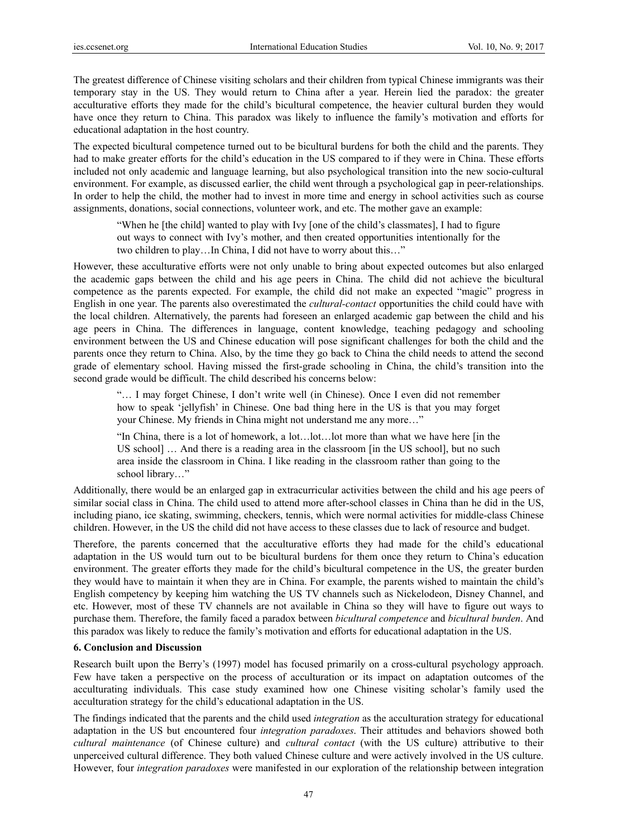The greatest difference of Chinese visiting scholars and their children from typical Chinese immigrants was their temporary stay in the US. They would return to China after a year. Herein lied the paradox: the greater acculturative efforts they made for the child's bicultural competence, the heavier cultural burden they would have once they return to China. This paradox was likely to influence the family's motivation and efforts for educational adaptation in the host country.

The expected bicultural competence turned out to be bicultural burdens for both the child and the parents. They had to make greater efforts for the child's education in the US compared to if they were in China. These efforts included not only academic and language learning, but also psychological transition into the new socio-cultural environment. For example, as discussed earlier, the child went through a psychological gap in peer-relationships. In order to help the child, the mother had to invest in more time and energy in school activities such as course assignments, donations, social connections, volunteer work, and etc. The mother gave an example:

"When he [the child] wanted to play with Ivy [one of the child's classmates], I had to figure out ways to connect with Ivy's mother, and then created opportunities intentionally for the two children to play…In China, I did not have to worry about this…"

However, these acculturative efforts were not only unable to bring about expected outcomes but also enlarged the academic gaps between the child and his age peers in China. The child did not achieve the bicultural competence as the parents expected. For example, the child did not make an expected "magic" progress in English in one year. The parents also overestimated the *cultural-contact* opportunities the child could have with the local children. Alternatively, the parents had foreseen an enlarged academic gap between the child and his age peers in China. The differences in language, content knowledge, teaching pedagogy and schooling environment between the US and Chinese education will pose significant challenges for both the child and the parents once they return to China. Also, by the time they go back to China the child needs to attend the second grade of elementary school. Having missed the first-grade schooling in China, the child's transition into the second grade would be difficult. The child described his concerns below:

"… I may forget Chinese, I don't write well (in Chinese). Once I even did not remember how to speak 'jellyfish' in Chinese. One bad thing here in the US is that you may forget your Chinese. My friends in China might not understand me any more…"

"In China, there is a lot of homework, a lot…lot…lot more than what we have here [in the US school] … And there is a reading area in the classroom [in the US school], but no such area inside the classroom in China. I like reading in the classroom rather than going to the school library..."

Additionally, there would be an enlarged gap in extracurricular activities between the child and his age peers of similar social class in China. The child used to attend more after-school classes in China than he did in the US, including piano, ice skating, swimming, checkers, tennis, which were normal activities for middle-class Chinese children. However, in the US the child did not have access to these classes due to lack of resource and budget.

Therefore, the parents concerned that the acculturative efforts they had made for the child's educational adaptation in the US would turn out to be bicultural burdens for them once they return to China's education environment. The greater efforts they made for the child's bicultural competence in the US, the greater burden they would have to maintain it when they are in China. For example, the parents wished to maintain the child's English competency by keeping him watching the US TV channels such as Nickelodeon, Disney Channel, and etc. However, most of these TV channels are not available in China so they will have to figure out ways to purchase them. Therefore, the family faced a paradox between *bicultural competence* and *bicultural burden*. And this paradox was likely to reduce the family's motivation and efforts for educational adaptation in the US.

#### **6. Conclusion and Discussion**

Research built upon the Berry's (1997) model has focused primarily on a cross-cultural psychology approach. Few have taken a perspective on the process of acculturation or its impact on adaptation outcomes of the acculturating individuals. This case study examined how one Chinese visiting scholar's family used the acculturation strategy for the child's educational adaptation in the US.

The findings indicated that the parents and the child used *integration* as the acculturation strategy for educational adaptation in the US but encountered four *integration paradoxes*. Their attitudes and behaviors showed both *cultural maintenance* (of Chinese culture) and *cultural contact* (with the US culture) attributive to their unperceived cultural difference. They both valued Chinese culture and were actively involved in the US culture. However, four *integration paradoxes* were manifested in our exploration of the relationship between integration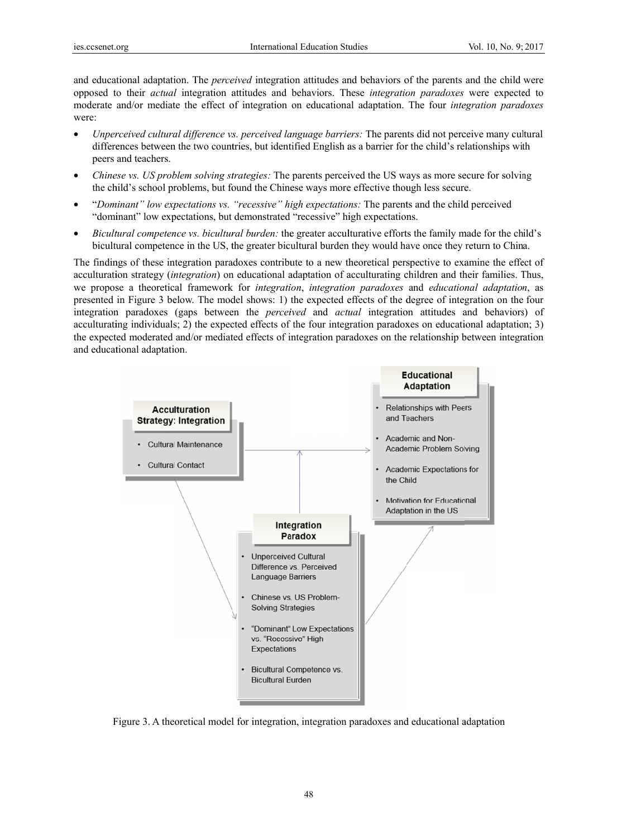and educational adaptation. The *perceived* integration attitudes and behaviors of the parents and the child were opposed to their *actual* integration attitudes and behaviors. These *integration paradoxes* were expected to moderate and/or mediate the effect of integration on educational adaptation. The four *integration paradoxes* were:

- *Unperceived cultural difference vs. perceived language barriers:* The parents did not perceive many cultural differences between the two countries, but identified English as a barrier for the child's relationships with peers and teachers.
- *Chinese vs. US problem solving strategies:* The parents perceived the US ways as more secure for solving the child's school problems, but found the Chinese ways more effective though less secure.
- "*Dominant" low expectations vs. "recessive" high expectations:* The parents and the child perceived "dominant" low expectations, but demonstrated "recessive" high expectations.
- *Bicultural competence vs. bicultural burden:* the greater acculturative efforts the family made for the child's bicultural competence in the US, the greater bicultural burden they would have once they return to China.

The findings of these integration paradoxes contribute to a new theoretical perspective to examine the effect of acculturation strategy (*integration*) on educational adaptation of acculturating children and their families. Thus, we propose a theoretical framework for *integration*, *integration paradoxes* and *educational adaptation*, as presented in Figure 3 below. The model shows: 1) the expected effects of the degree of integration on the four integration paradoxes (gaps between the *perceived* and *actual* integration attitudes and behaviors) of acculturating individuals; 2) the expected effects of the four integration paradoxes on educational adaptation; 3) the expected moderated and/or mediated effects of integration paradoxes on the relationship between integration and educational adaptation.



Figure 3. A theoretical model for integration, integration paradoxes and educational adaptation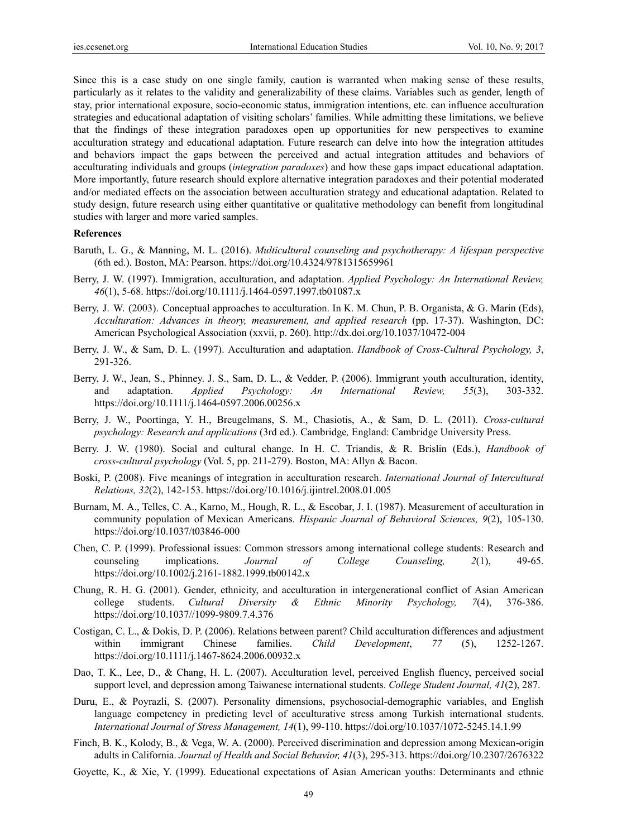Since this is a case study on one single family, caution is warranted when making sense of these results, particularly as it relates to the validity and generalizability of these claims. Variables such as gender, length of stay, prior international exposure, socio-economic status, immigration intentions, etc. can influence acculturation strategies and educational adaptation of visiting scholars' families. While admitting these limitations, we believe that the findings of these integration paradoxes open up opportunities for new perspectives to examine acculturation strategy and educational adaptation. Future research can delve into how the integration attitudes and behaviors impact the gaps between the perceived and actual integration attitudes and behaviors of acculturating individuals and groups (*integration paradoxes*) and how these gaps impact educational adaptation. More importantly, future research should explore alternative integration paradoxes and their potential moderated and/or mediated effects on the association between acculturation strategy and educational adaptation. Related to study design, future research using either quantitative or qualitative methodology can benefit from longitudinal studies with larger and more varied samples.

#### **References**

- Baruth, L. G., & Manning, M. L. (2016). *Multicultural counseling and psychotherapy: A lifespan perspective* (6th ed.). Boston, MA: Pearson. https://doi.org/10.4324/9781315659961
- Berry, J. W. (1997). Immigration, acculturation, and adaptation. *Applied Psychology: An International Review, 46*(1), 5-68. https://doi.org/10.1111/j.1464-0597.1997.tb01087.x
- Berry, J. W. (2003). Conceptual approaches to acculturation. In K. M. Chun, P. B. Organista, & G. Marín (Eds), *Acculturation: Advances in theory, measurement, and applied research* (pp. 17-37). Washington, DC: American Psychological Association (xxvii, p. 260). http://dx.doi.org/10.1037/10472-004
- Berry, J. W., & Sam, D. L. (1997). Acculturation and adaptation. *Handbook of Cross-Cultural Psychology, 3*, 291-326.
- Berry, J. W., Jean, S., Phinney. J. S., Sam, D. L., & Vedder, P. (2006). Immigrant youth acculturation, identity, and adaptation. *Applied Psychology: An International Review, 55*(3), 303-332. https://doi.org/10.1111/j.1464-0597.2006.00256.x
- Berry, J. W., Poortinga, Y. H., Breugelmans, S. M., Chasiotis, A., & Sam, D. L. (2011). *Cross-cultural psychology: Research and applications* (3rd ed.). Cambridge*,* England: Cambridge University Press.
- Berry. J. W. (1980). Social and cultural change. In H. C. Triandis, & R. Brislin (Eds.), *Handbook of cross-cultural psychology* (Vol. 5, pp. 211-279). Boston, MA: Allyn & Bacon.
- Boski, P. (2008). Five meanings of integration in acculturation research. *International Journal of Intercultural Relations, 32*(2), 142-153. https://doi.org/10.1016/j.ijintrel.2008.01.005
- Burnam, M. A., Telles, C. A., Karno, M., Hough, R. L., & Escobar, J. I. (1987). Measurement of acculturation in community population of Mexican Americans. *Hispanic Journal of Behavioral Sciences, 9*(2), 105-130. https://doi.org/10.1037/t03846-000
- Chen, C. P. (1999). Professional issues: Common stressors among international college students: Research and counseling implications. *Journal of College Counseling, 2*(1), 49-65. https://doi.org/10.1002/j.2161-1882.1999.tb00142.x
- Chung, R. H. G. (2001). Gender, ethnicity, and acculturation in intergenerational conflict of Asian American college students. *Cultural Diversity & Ethnic Minority Psychology, 7*(4), 376-386. https://doi.org/10.1037//1099-9809.7.4.376
- Costigan, C. L., & Dokis, D. P. (2006). Relations between parent? Child acculturation differences and adjustment within immigrant Chinese families. *Child Development*, *77* (5), 1252-1267. https://doi.org/10.1111/j.1467-8624.2006.00932.x
- Dao, T. K., Lee, D., & Chang, H. L. (2007). Acculturation level, perceived English fluency, perceived social support level, and depression among Taiwanese international students. *College Student Journal, 41*(2), 287.
- Duru, E., & Poyrazli, S. (2007). Personality dimensions, psychosocial-demographic variables, and English language competency in predicting level of acculturative stress among Turkish international students. *International Journal of Stress Management, 14*(1), 99-110. https://doi.org/10.1037/1072-5245.14.1.99
- Finch, B. K., Kolody, B., & Vega, W. A. (2000). Perceived discrimination and depression among Mexican-origin adults in California. *Journal of Health and Social Behavior, 41*(3), 295-313. https://doi.org/10.2307/2676322
- Goyette, K., & Xie, Y. (1999). Educational expectations of Asian American youths: Determinants and ethnic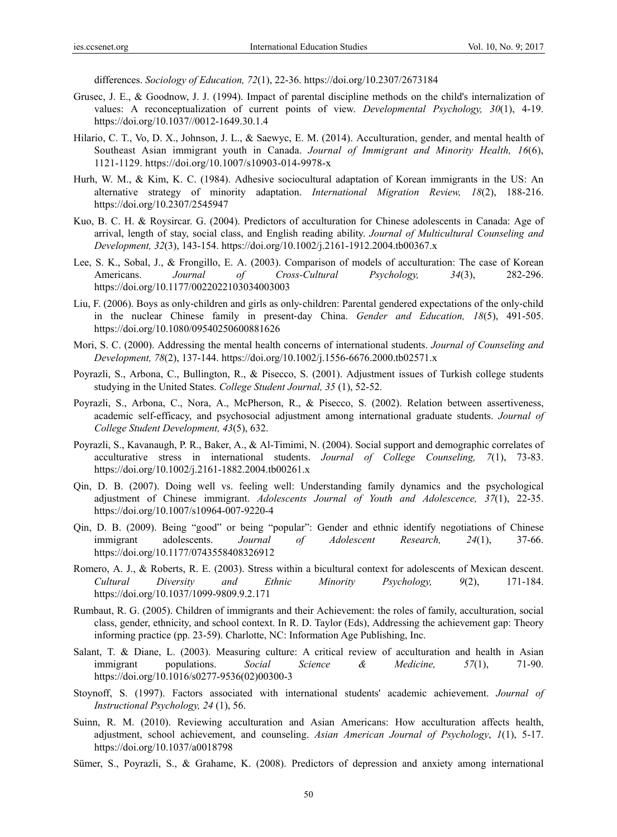differences. *Sociology of Education, 72*(1), 22-36. https://doi.org/10.2307/2673184

- Grusec, J. E., & Goodnow, J. J. (1994). Impact of parental discipline methods on the child's internalization of values: A reconceptualization of current points of view. *Developmental Psychology, 30*(1), 4-19. https://doi.org/10.1037//0012-1649.30.1.4
- Hilario, C. T., Vo, D. X., Johnson, J. L., & Saewyc, E. M. (2014). Acculturation, gender, and mental health of Southeast Asian immigrant youth in Canada. *Journal of Immigrant and Minority Health, 16*(6), 1121-1129. https://doi.org/10.1007/s10903-014-9978-x
- Hurh, W. M., & Kim, K. C. (1984). Adhesive sociocultural adaptation of Korean immigrants in the US: An alternative strategy of minority adaptation. *International Migration Review, 18*(2), 188-216. https://doi.org/10.2307/2545947
- Kuo, B. C. H. & Roysircar. G. (2004). Predictors of acculturation for Chinese adolescents in Canada: Age of arrival, length of stay, social class, and English reading ability. *Journal of Multicultural Counseling and Development, 32*(3), 143-154. https://doi.org/10.1002/j.2161-1912.2004.tb00367.x
- Lee, S. K., Sobal, J., & Frongillo, E. A. (2003). Comparison of models of acculturation: The case of Korean Americans. *Journal of Cross-Cultural Psychology, 34*(3), 282-296. https://doi.org/10.1177/0022022103034003003
- Liu, F. (2006). Boys as only‐children and girls as only‐children: Parental gendered expectations of the only‐child in the nuclear Chinese family in present‐day China. *Gender and Education, 18*(5), 491-505. https://doi.org/10.1080/09540250600881626
- Mori, S. C. (2000). Addressing the mental health concerns of international students. *Journal of Counseling and Development, 78*(2), 137-144. https://doi.org/10.1002/j.1556-6676.2000.tb02571.x
- Poyrazli, S., Arbona, C., Bullington, R., & Pisecco, S. (2001). Adjustment issues of Turkish college students studying in the United States. *College Student Journal, 35* (1), 52-52.
- Poyrazli, S., Arbona, C., Nora, A., McPherson, R., & Pisecco, S. (2002). Relation between assertiveness, academic self-efficacy, and psychosocial adjustment among international graduate students. *Journal of College Student Development, 43*(5), 632.
- Poyrazli, S., Kavanaugh, P. R., Baker, A., & Al-Timimi, N. (2004). Social support and demographic correlates of acculturative stress in international students. *Journal of College Counseling, 7*(1), 73-83. https://doi.org/10.1002/j.2161-1882.2004.tb00261.x
- Qin, D. B. (2007). Doing well vs. feeling well: Understanding family dynamics and the psychological adjustment of Chinese immigrant. *Adolescents Journal of Youth and Adolescence, 37*(1), 22-35. https://doi.org/10.1007/s10964-007-9220-4
- Qin, D. B. (2009). Being "good" or being "popular": Gender and ethnic identify negotiations of Chinese immigrant adolescents. *Journal of Adolescent Research, 24*(1), 37-66. https://doi.org/10.1177/0743558408326912
- Romero, A. J., & Roberts, R. E. (2003). Stress within a bicultural context for adolescents of Mexican descent. *Cultural Diversity and Ethnic Minority Psychology, 9*(2), 171-184. https://doi.org/10.1037/1099-9809.9.2.171
- Rumbaut, R. G. (2005). Children of immigrants and their Achievement: the roles of family, acculturation, social class, gender, ethnicity, and school context. In R. D. Taylor (Eds), Addressing the achievement gap: Theory informing practice (pp. 23-59). Charlotte, NC: Information Age Publishing, Inc.
- Salant, T. & Diane, L. (2003). Measuring culture: A critical review of acculturation and health in Asian immigrant populations. *Social Science & Medicine, 57*(1), 71-90. https://doi.org/10.1016/s0277-9536(02)00300-3
- Stoynoff, S. (1997). Factors associated with international students' academic achievement. *Journal of Instructional Psychology, 24* (1), 56.
- Suinn, R. M. (2010). Reviewing acculturation and Asian Americans: How acculturation affects health, adjustment, school achievement, and counseling. *Asian American Journal of Psychology*, *1*(1), 5-17. https://doi.org/10.1037/a0018798
- Sümer, S., Poyrazli, S., & Grahame, K. (2008). Predictors of depression and anxiety among international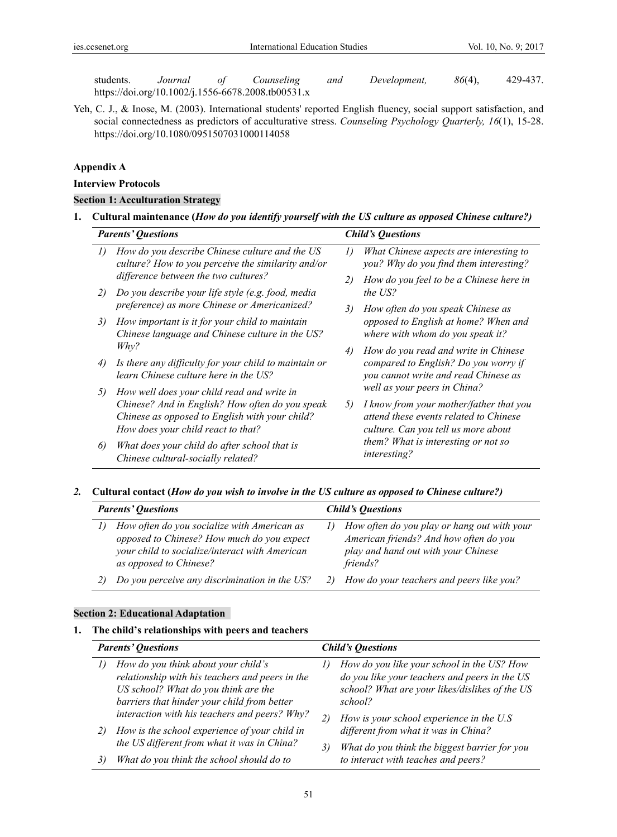students. *Journal of Counseling and Development, 86*(4), 429-437. https://doi.org/10.1002/j.1556-6678.2008.tb00531.x

Yeh, C. J., & Inose, M. (2003). International students' reported English fluency, social support satisfaction, and social connectedness as predictors of acculturative stress. *Counseling Psychology Quarterly, 16*(1), 15-28. https://doi.org/10.1080/0951507031000114058

# **Appendix A**

#### **Interview Protocols**

#### **Section 1: Acculturation Strategy**

**1. Cultural maintenance (***How do you identify yourself with the US culture as opposed Chinese culture?)*

|         | <b>Parents' Questions</b>                                                                                                               |         | <b>Child's Questions</b>                                                                                                 |
|---------|-----------------------------------------------------------------------------------------------------------------------------------------|---------|--------------------------------------------------------------------------------------------------------------------------|
| $\iota$ | How do you describe Chinese culture and the US<br>culture? How to you perceive the similarity and/or                                    | $\iota$ | What Chinese aspects are interesting to<br>you? Why do you find them interesting?                                        |
|         | difference between the two cultures?                                                                                                    | 2)      | How do you feel to be a Chinese here in                                                                                  |
| 2)      | Do you describe your life style (e.g. food, media<br>preference) as more Chinese or Americanized?                                       |         | the US?                                                                                                                  |
| 3)      | How important is it for your child to maintain<br>Chinese language and Chinese culture in the US?                                       | 3)      | How often do you speak Chinese as<br>opposed to English at home? When and<br>where with whom do you speak it?            |
|         | Why?                                                                                                                                    | 4)      | How do you read and write in Chinese                                                                                     |
| 4)      | Is there any difficulty for your child to maintain or<br>learn Chinese culture here in the US?                                          |         | compared to English? Do you worry if<br>you cannot write and read Chinese as                                             |
| 5)      | How well does your child read and write in                                                                                              |         | well as your peers in China?                                                                                             |
|         | Chinese? And in English? How often do you speak<br>Chinese as opposed to English with your child?<br>How does your child react to that? | 5)      | I know from your mother/father that you<br>attend these events related to Chinese<br>culture. Can you tell us more about |
| 6)      | What does your child do after school that is<br>Chinese cultural-socially related?                                                      |         | them? What is interesting or not so<br><i>interesting?</i>                                                               |

# *2.* **Cultural contact (***How do you wish to involve in the US culture as opposed to Chinese culture?)*

| <b>Parents' Questions</b>                                                                                                                                             |         | <b>Child's Questions</b>                                                                                                                 |  |  |
|-----------------------------------------------------------------------------------------------------------------------------------------------------------------------|---------|------------------------------------------------------------------------------------------------------------------------------------------|--|--|
| How often do you socialize with American as<br>opposed to Chinese? How much do you expect<br>your child to socialize/interact with American<br>as opposed to Chinese? | $\iota$ | How often do you play or hang out with your<br>American friends? And how often do you<br>play and hand out with your Chinese<br>friends? |  |  |
| Do you perceive any discrimination in the US?                                                                                                                         |         | 2) How do your teachers and peers like you?                                                                                              |  |  |

## **Section 2: Educational Adaptation**

## **1. The child's relationships with peers and teachers**

| <b>Parents' Questions</b> |                                                                                                                                                                               |    | <b>Child's Questions</b>                                                                                                                                 |
|---------------------------|-------------------------------------------------------------------------------------------------------------------------------------------------------------------------------|----|----------------------------------------------------------------------------------------------------------------------------------------------------------|
|                           | How do you think about your child's<br>relationship with his teachers and peers in the<br>US school? What do you think are the<br>barriers that hinder your child from better | I) | How do you like your school in the US? How<br>do you like your teachers and peers in the US<br>school? What are your likes/dislikes of the US<br>school? |
|                           | interaction with his teachers and peers? Why?                                                                                                                                 | 2) | How is your school experience in the $U.S$                                                                                                               |
| 2)                        | How is the school experience of your child in<br>the US different from what it was in China?                                                                                  |    | different from what it was in China?                                                                                                                     |
|                           |                                                                                                                                                                               | 3) | What do you think the biggest barrier for you                                                                                                            |
| 3)                        | What do you think the school should do to                                                                                                                                     |    | to interact with teaches and peers?                                                                                                                      |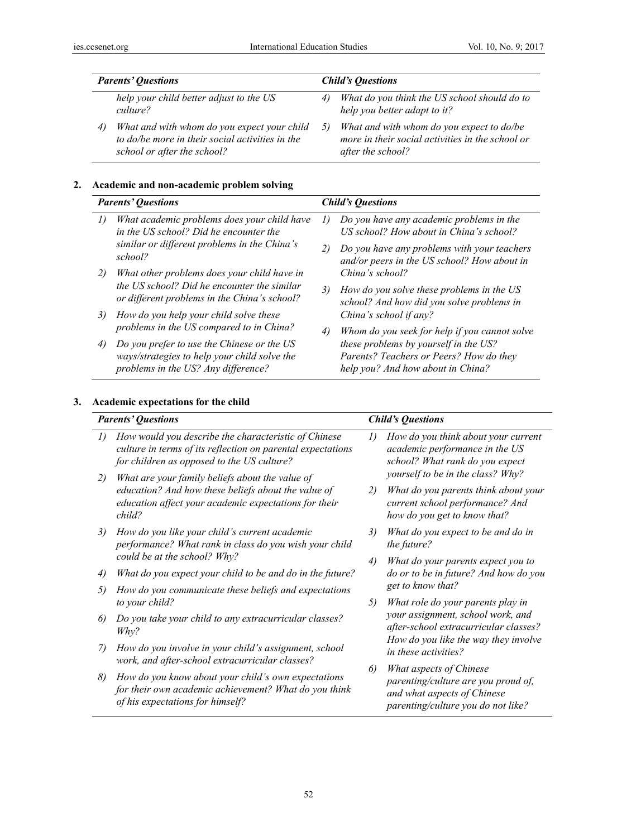| <b>Parents' Questions</b> |                                                                                                                               |    | <b>Child's Questions</b>                                                                                           |  |  |
|---------------------------|-------------------------------------------------------------------------------------------------------------------------------|----|--------------------------------------------------------------------------------------------------------------------|--|--|
|                           | help your child better adjust to the US<br>culture?                                                                           | 4) | What do you think the US school should do to<br>help you better adapt to it?                                       |  |  |
| 4)                        | What and with whom do you expect your child<br>to do/be more in their social activities in the<br>school or after the school? | 5) | What and with whom do you expect to do/be<br>more in their social activities in the school or<br>after the school? |  |  |
|                           | Academic and non-academic problem solving                                                                                     |    |                                                                                                                    |  |  |
|                           | Parents' Questions                                                                                                            |    | Child's Ouestions                                                                                                  |  |  |

| <b>Parents' Questions</b> |                                                                                                                                   |    | <b>Child's Questions</b>                                                                                              |
|---------------------------|-----------------------------------------------------------------------------------------------------------------------------------|----|-----------------------------------------------------------------------------------------------------------------------|
| $\iota$                   | What academic problems does your child have<br>in the US school? Did he encounter the                                             | D  | Do you have any academic problems in the<br>US school? How about in China's school?                                   |
|                           | similar or different problems in the China's<br>school?                                                                           | 2) | Do you have any problems with your teachers<br>and/or peers in the US school? How about in                            |
| 2)                        | What other problems does your child have in                                                                                       |    | China's school?                                                                                                       |
|                           | the US school? Did he encounter the similar<br>or different problems in the China's school?                                       | 3) | How do you solve these problems in the US<br>school? And how did you solve problems in                                |
| 3)                        | How do you help your child solve these                                                                                            |    | China's school if any?                                                                                                |
|                           | problems in the US compared to in China?                                                                                          | 4) | Whom do you seek for help if you cannot solve                                                                         |
| 4)                        | Do you prefer to use the Chinese or the US<br>ways/strategies to help your child solve the<br>problems in the US? Any difference? |    | these problems by yourself in the US?<br>Parents? Teachers or Peers? How do they<br>help you? And how about in China? |

# **3. Academic expectations for the child**

|    | <b>Parents' Questions</b>                                                                                                                                                 |                | <b>Child's Questions</b>                                                                                                                     |
|----|---------------------------------------------------------------------------------------------------------------------------------------------------------------------------|----------------|----------------------------------------------------------------------------------------------------------------------------------------------|
| l) | How would you describe the characteristic of Chinese<br>culture in terms of its reflection on parental expectations<br>for children as opposed to the US culture?         | $\overline{D}$ | How do you think about your current<br>academic performance in the US<br>school? What rank do you expect                                     |
| 2) | What are your family beliefs about the value of<br>education? And how these beliefs about the value of<br>education affect your academic expectations for their<br>child? | 2)             | yourself to be in the class? Why?<br>What do you parents think about your<br>current school performance? And<br>how do you get to know that? |
| 3) | How do you like your child's current academic<br>performance? What rank in class do you wish your child                                                                   | 3)             | What do you expect to be and do in<br>the future?                                                                                            |
| 4) | could be at the school? Why?<br>What do you expect your child to be and do in the future?                                                                                 | 4)             | What do your parents expect you to<br>do or to be in future? And how do you                                                                  |
| 5) | How do you communicate these beliefs and expectations<br>to your child?                                                                                                   | 5)             | get to know that?<br>What role do your parents play in                                                                                       |
| 6) | Do you take your child to any extracurricular classes?<br>Why?                                                                                                            |                | your assignment, school work, and<br>after-school extracurricular classes?<br>How do you like the way they involve                           |
| 7) | How do you involve in your child's assignment, school<br>work, and after-school extracurricular classes?                                                                  |                | in these activities?                                                                                                                         |
| 8) | How do you know about your child's own expectations<br>for their own academic achievement? What do you think<br>of his expectations for himself?                          | 6)             | What aspects of Chinese<br>parenting/culture are you proud of,<br>and what aspects of Chinese<br>parenting/culture you do not like?          |